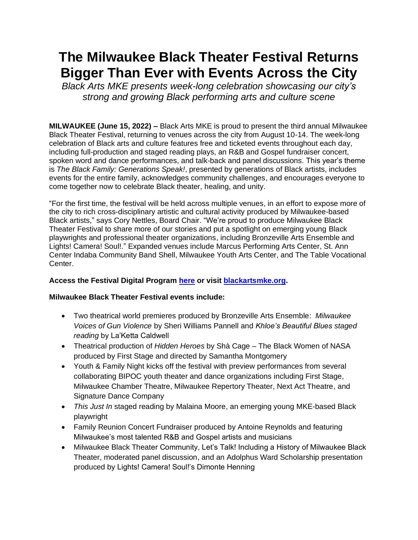## **The Milwaukee Black Theater Festival Returns Bigger Than Ever with Events Across the City**

*Black Arts MKE presents week-long celebration showcasing our city's strong and growing Black performing arts and culture scene*

**MILWAUKEE (June 15, 2022) –** Black Arts MKE is proud to present the third annual Milwaukee Black Theater Festival, returning to venues across the city from August 10-14. The week-long celebration of Black arts and culture features free and ticketed events throughout each day, including full-production and staged reading plays, an R&B and Gospel fundraiser concert, spoken word and dance performances, and talk-back and panel discussions. This year's theme is *The Black Family: Generations Speak!*, presented by generations of Black artists, includes events for the entire family, acknowledges community challenges, and encourages everyone to come together now to celebrate Black theater, healing, and unity.

"For the first time, the festival will be held across multiple venues, in an effort to expose more of the city to rich cross-disciplinary artistic and cultural activity produced by Milwaukee-based Black artists," says Cory Nettles, Board Chair. "We're proud to produce Milwaukee Black Theater Festival to share more of our stories and put a spotlight on emerging young Black playwrights and professional theater organizations, including Bronzeville Arts Ensemble and Lights! Camera! Soul!." Expanded venues include Marcus Performing Arts Center, St. Ann Center Indaba Community Band Shell, Milwaukee Youth Arts Center, and The Table Vocational Center.

## **Access the Festival Digital Program [here](https://dpb-web.instantencore.com/program/17404/2022-milwaukee-black-thea/page/17404/home?cid=5205951) or visit [blackartsmke.org.](https://www.blackartsmke.org/)**

## **Milwaukee Black Theater Festival events include:**

- Two theatrical world premieres produced by Bronzeville Arts Ensemble: *Milwaukee Voices of Gun Violence* by Sheri Williams Pannell and *Khloe's Beautiful Blues staged reading* by La'Ketta Caldwell
- Theatrical production of *Hidden Heroes* by Shà Cage The Black Women of NASA produced by First Stage and directed by Samantha Montgomery
- Youth & Family Night kicks off the festival with preview performances from several collaborating BIPOC youth theater and dance organizations including First Stage, Milwaukee Chamber Theatre, Milwaukee Repertory Theater, Next Act Theatre, and Signature Dance Company
- *This Just In* staged reading by Malaina Moore, an emerging young MKE-based Black playwright
- Family Reunion Concert Fundraiser produced by Antoine Reynolds and featuring Milwaukee's most talented R&B and Gospel artists and musicians
- Milwaukee Black Theater Community, Let's Talk! Including a History of Milwaukee Black Theater, moderated panel discussion, and an Adolphus Ward Scholarship presentation produced by Lights! Camera! Soul!'s Dimonte Henning